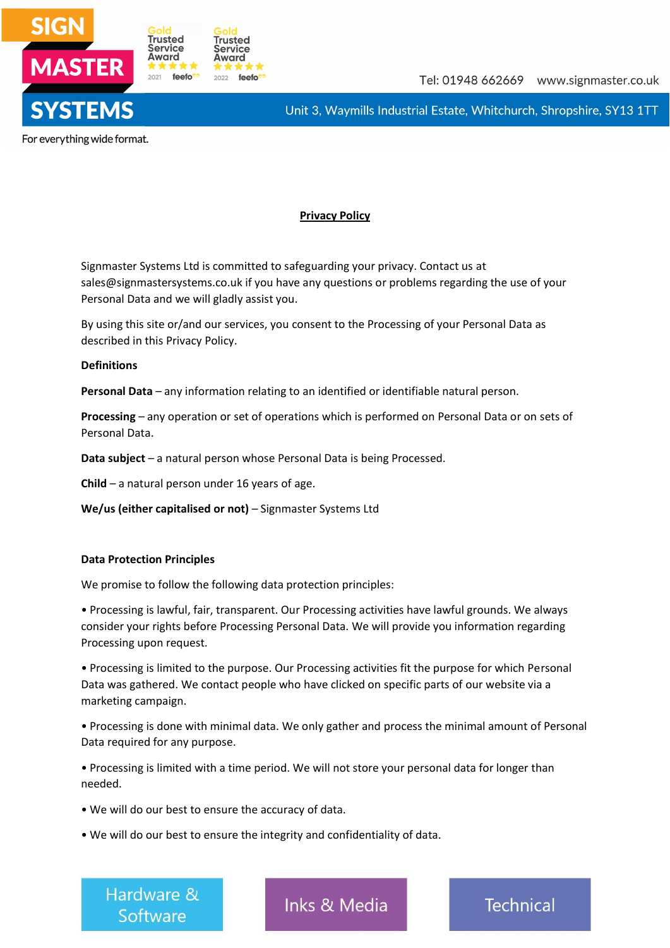



For everything wide format.

# **Privacy Policy**

Signmaster Systems Ltd is committed to safeguarding your privacy. Contact us at sales@signmastersystems.co.uk if you have any questions or problems regarding the use of your Personal Data and we will gladly assist you.

By using this site or/and our services, you consent to the Processing of your Personal Data as described in this Privacy Policy.

## **Definitions**

**Personal Data** – any information relating to an identified or identifiable natural person.

**Processing** – any operation or set of operations which is performed on Personal Data or on sets of Personal Data.

**Data subject** – a natural person whose Personal Data is being Processed.

**Child** – a natural person under 16 years of age.

**We/us (either capitalised or not)** – Signmaster Systems Ltd

## **Data Protection Principles**

We promise to follow the following data protection principles:

• Processing is lawful, fair, transparent. Our Processing activities have lawful grounds. We always consider your rights before Processing Personal Data. We will provide you information regarding Processing upon request.

• Processing is limited to the purpose. Our Processing activities fit the purpose for which Personal Data was gathered. We contact people who have clicked on specific parts of our website via a marketing campaign.

• Processing is done with minimal data. We only gather and process the minimal amount of Personal Data required for any purpose.

• Processing is limited with a time period. We will not store your personal data for longer than needed.

• We will do our best to ensure the accuracy of data.

• We will do our best to ensure the integrity and confidentiality of data.

Hardware & Software

**Inks & Media**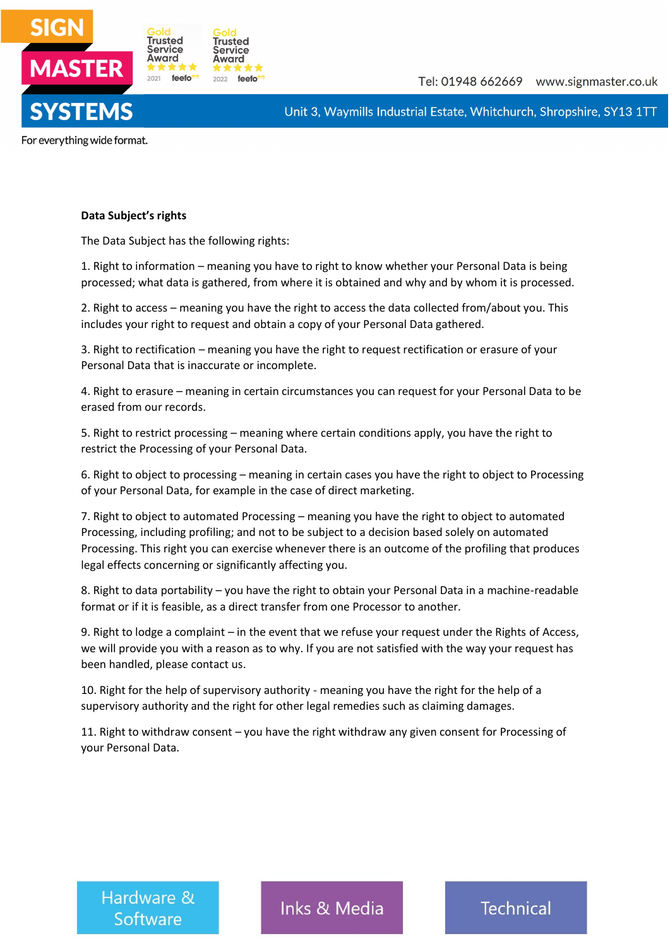

For everything wide format.

## **Data Subject's rights**

The Data Subject has the following rights:

1. Right to information – meaning you have to right to know whether your Personal Data is being processed; what data is gathered, from where it is obtained and why and by whom it is processed.

2. Right to access – meaning you have the right to access the data collected from/about you. This includes your right to request and obtain a copy of your Personal Data gathered.

3. Right to rectification – meaning you have the right to request rectification or erasure of your Personal Data that is inaccurate or incomplete.

4. Right to erasure – meaning in certain circumstances you can request for your Personal Data to be erased from our records.

5. Right to restrict processing – meaning where certain conditions apply, you have the right to restrict the Processing of your Personal Data.

6. Right to object to processing – meaning in certain cases you have the right to object to Processing of your Personal Data, for example in the case of direct marketing.

7. Right to object to automated Processing – meaning you have the right to object to automated Processing, including profiling; and not to be subject to a decision based solely on automated Processing. This right you can exercise whenever there is an outcome of the profiling that produces legal effects concerning or significantly affecting you.

8. Right to data portability – you have the right to obtain your Personal Data in a machine-readable format or if it is feasible, as a direct transfer from one Processor to another.

9. Right to lodge a complaint – in the event that we refuse your request under the Rights of Access, we will provide you with a reason as to why. If you are not satisfied with the way your request has been handled, please contact us.

10. Right for the help of supervisory authority - meaning you have the right for the help of a supervisory authority and the right for other legal remedies such as claiming damages.

11. Right to withdraw consent – you have the right withdraw any given consent for Processing of your Personal Data.

Hardware & Software

Inks & Media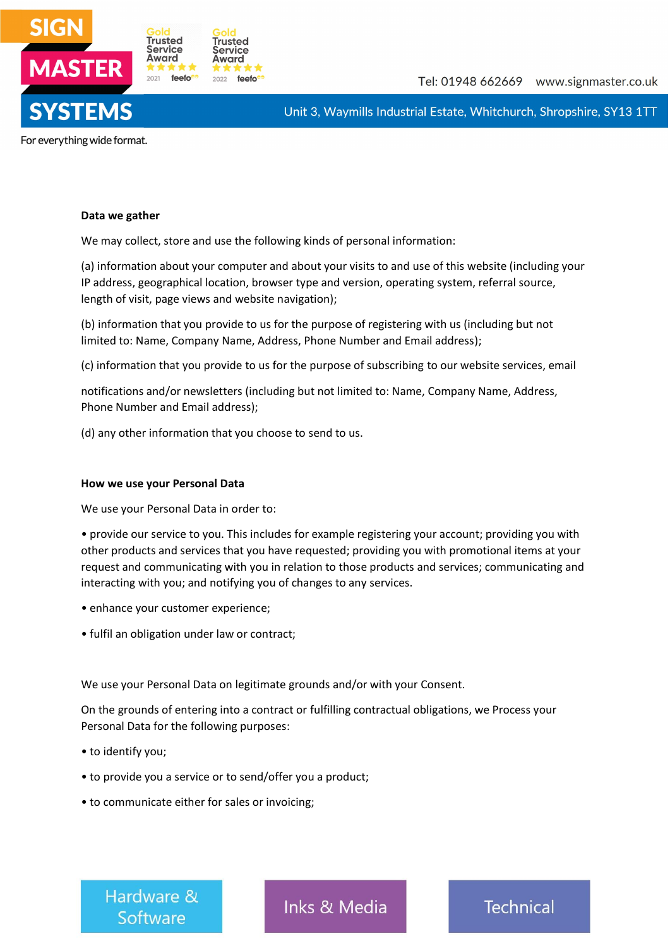

For everything wide format.

#### **Data we gather**

We may collect, store and use the following kinds of personal information:

(a) information about your computer and about your visits to and use of this website (including your IP address, geographical location, browser type and version, operating system, referral source, length of visit, page views and website navigation);

(b) information that you provide to us for the purpose of registering with us (including but not limited to: Name, Company Name, Address, Phone Number and Email address);

(c) information that you provide to us for the purpose of subscribing to our website services, email

notifications and/or newsletters (including but not limited to: Name, Company Name, Address, Phone Number and Email address);

(d) any other information that you choose to send to us.

### **How we use your Personal Data**

We use your Personal Data in order to:

• provide our service to you. This includes for example registering your account; providing you with other products and services that you have requested; providing you with promotional items at your request and communicating with you in relation to those products and services; communicating and interacting with you; and notifying you of changes to any services.

- enhance your customer experience;
- fulfil an obligation under law or contract;

We use your Personal Data on legitimate grounds and/or with your Consent.

On the grounds of entering into a contract or fulfilling contractual obligations, we Process your Personal Data for the following purposes:

- to identify you;
- to provide you a service or to send/offer you a product;
- to communicate either for sales or invoicing;

Hardware & Software

Inks & Media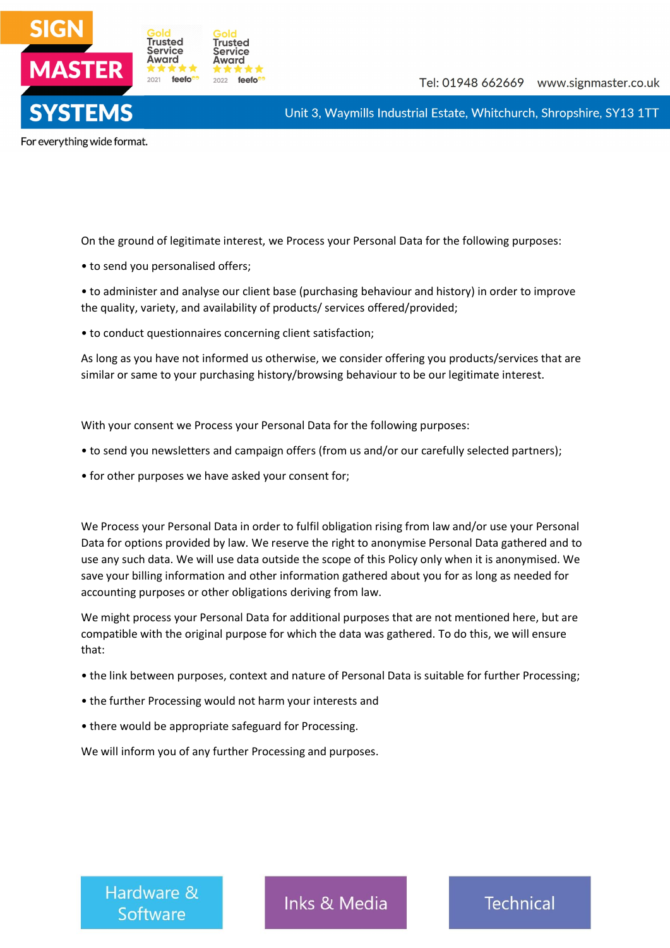

For everything wide format.

On the ground of legitimate interest, we Process your Personal Data for the following purposes:

• to send you personalised offers;

• to administer and analyse our client base (purchasing behaviour and history) in order to improve the quality, variety, and availability of products/ services offered/provided;

• to conduct questionnaires concerning client satisfaction;

As long as you have not informed us otherwise, we consider offering you products/services that are similar or same to your purchasing history/browsing behaviour to be our legitimate interest.

With your consent we Process your Personal Data for the following purposes:

- to send you newsletters and campaign offers (from us and/or our carefully selected partners);
- for other purposes we have asked your consent for;

We Process your Personal Data in order to fulfil obligation rising from law and/or use your Personal Data for options provided by law. We reserve the right to anonymise Personal Data gathered and to use any such data. We will use data outside the scope of this Policy only when it is anonymised. We save your billing information and other information gathered about you for as long as needed for accounting purposes or other obligations deriving from law.

We might process your Personal Data for additional purposes that are not mentioned here, but are compatible with the original purpose for which the data was gathered. To do this, we will ensure that:

- the link between purposes, context and nature of Personal Data is suitable for further Processing;
- the further Processing would not harm your interests and
- there would be appropriate safeguard for Processing.

We will inform you of any further Processing and purposes.

Hardware & Software

Inks & Media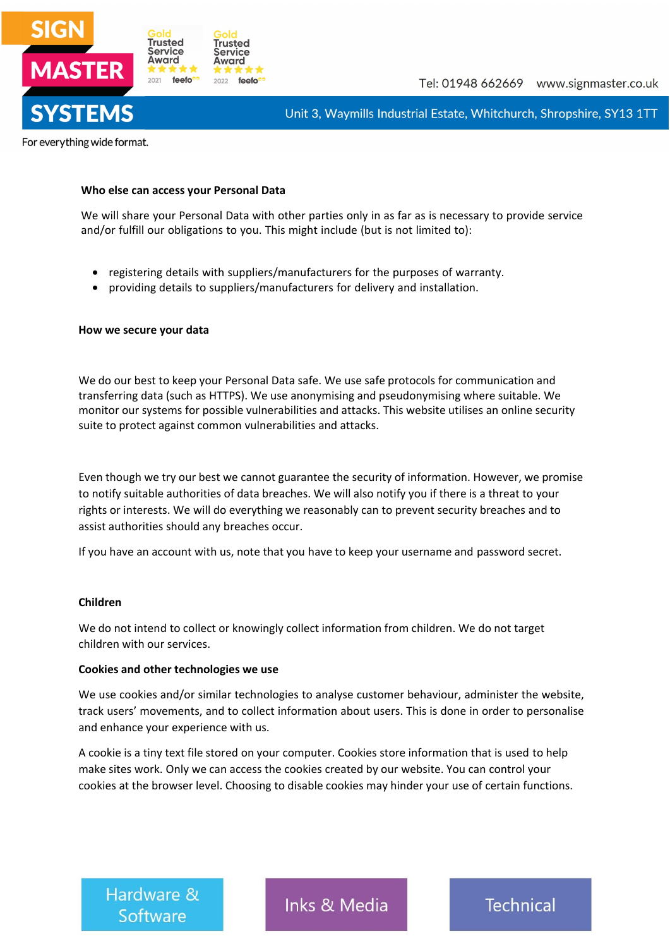

For everything wide format.

## **Who else can access your Personal Data**

We will share your Personal Data with other parties only in as far as is necessary to provide service and/or fulfill our obligations to you. This might include (but is not limited to):

- registering details with suppliers/manufacturers for the purposes of warranty.
- providing details to suppliers/manufacturers for delivery and installation.

### **How we secure your data**

We do our best to keep your Personal Data safe. We use safe protocols for communication and transferring data (such as HTTPS). We use anonymising and pseudonymising where suitable. We monitor our systems for possible vulnerabilities and attacks. This website utilises an online security suite to protect against common vulnerabilities and attacks.

Even though we try our best we cannot guarantee the security of information. However, we promise to notify suitable authorities of data breaches. We will also notify you if there is a threat to your rights or interests. We will do everything we reasonably can to prevent security breaches and to assist authorities should any breaches occur.

If you have an account with us, note that you have to keep your username and password secret.

### **Children**

We do not intend to collect or knowingly collect information from children. We do not target children with our services.

## **Cookies and other technologies we use**

We use cookies and/or similar technologies to analyse customer behaviour, administer the website, track users' movements, and to collect information about users. This is done in order to personalise and enhance your experience with us.

A cookie is a tiny text file stored on your computer. Cookies store information that is used to help make sites work. Only we can access the cookies created by our website. You can control your cookies at the browser level. Choosing to disable cookies may hinder your use of certain functions.

Hardware & Software

Inks & Media